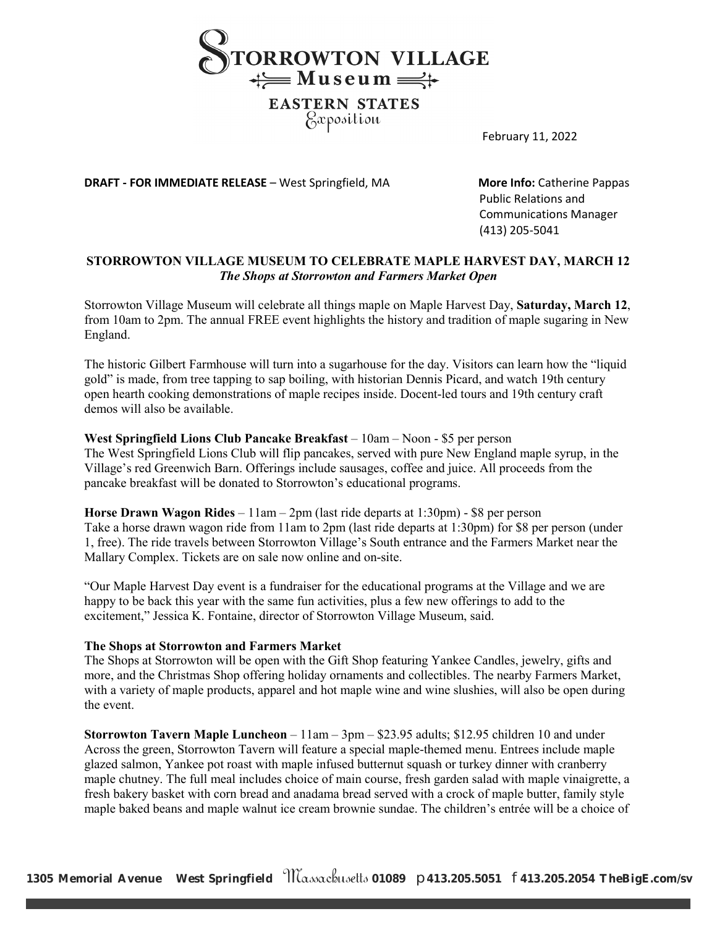

# *Pxposition*

February 11, 2022

**DRAFT - FOR IMMEDIATE RELEASE -** West Springfield, MA **More Info:** Catherine Pappas

Public Relations and Communications Manager (413) 205-5041

## **STORROWTON VILLAGE MUSEUM TO CELEBRATE MAPLE HARVEST DAY, MARCH 12** *The Shops at Storrowton and Farmers Market Open*

Storrowton Village Museum will celebrate all things maple on Maple Harvest Day, **Saturday, March 12**, from 10am to 2pm. The annual FREE event highlights the history and tradition of maple sugaring in New England.

The historic Gilbert Farmhouse will turn into a sugarhouse for the day. Visitors can learn how the "liquid gold" is made, from tree tapping to sap boiling, with historian Dennis Picard, and watch 19th century open hearth cooking demonstrations of maple recipes inside. Docent-led tours and 19th century craft demos will also be available.

### **West Springfield Lions Club Pancake Breakfast** – 10am – Noon - \$5 per person

The West Springfield Lions Club will flip pancakes, served with pure New England maple syrup, in the Village's red Greenwich Barn. Offerings include sausages, coffee and juice. All proceeds from the pancake breakfast will be donated to Storrowton's educational programs.

**Horse Drawn Wagon Rides** – 11am – 2pm (last ride departs at 1:30pm) - \$8 per person Take a horse drawn wagon ride from 11am to 2pm (last ride departs at 1:30pm) for \$8 per person (under 1, free). The ride travels between Storrowton Village's South entrance and the Farmers Market near the Mallary Complex. Tickets are on sale now online and on-site.

"Our Maple Harvest Day event is a fundraiser for the educational programs at the Village and we are happy to be back this year with the same fun activities, plus a few new offerings to add to the excitement," Jessica K. Fontaine, director of Storrowton Village Museum, said.

### **The Shops at Storrowton and Farmers Market**

The Shops at Storrowton will be open with the Gift Shop featuring Yankee Candles, jewelry, gifts and more, and the Christmas Shop offering holiday ornaments and collectibles. The nearby Farmers Market, with a variety of maple products, apparel and hot maple wine and wine slushies, will also be open during the event.

**Storrowton Tavern Maple Luncheon** – 11am – 3pm – \$23.95 adults; \$12.95 children 10 and under Across the green, Storrowton Tavern will feature a special maple-themed menu. Entrees include maple glazed salmon, Yankee pot roast with maple infused butternut squash or turkey dinner with cranberry maple chutney. The full meal includes choice of main course, fresh garden salad with maple vinaigrette, a fresh bakery basket with corn bread and anadama bread served with a crock of maple butter, family style maple baked beans and maple walnut ice cream brownie sundae. The children's entrée will be a choice of